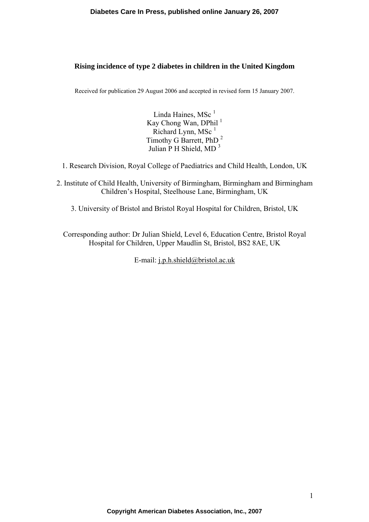#### **Diabetes Care In Press, published online January 26, 2007**

#### **Rising incidence of type 2 diabetes in children in the United Kingdom**

Received for publication 29 August 2006 and accepted in revised form 15 January 2007.

Linda Haines,  $MSc<sup>1</sup>$ Kay Chong Wan, DPhil $<sup>1</sup>$ </sup> Richard Lynn, MSc $<sup>1</sup>$ </sup> Timothy G Barrett, PhD <sup>2</sup> Julian P H Shield, MD <sup>3</sup>

- 1. Research Division, Royal College of Paediatrics and Child Health, London, UK
- 2. Institute of Child Health, University of Birmingham, Birmingham and Birmingham Children's Hospital, Steelhouse Lane, Birmingham, UK
	- 3. University of Bristol and Bristol Royal Hospital for Children, Bristol, UK

Corresponding author: Dr Julian Shield, Level 6, Education Centre, Bristol Royal Hospital for Children, Upper Maudlin St, Bristol, BS2 8AE, UK

E-mail: [j.p.h.shield@bristol.ac.uk](mailto:j.p.h.shield@bristol.ac.uk)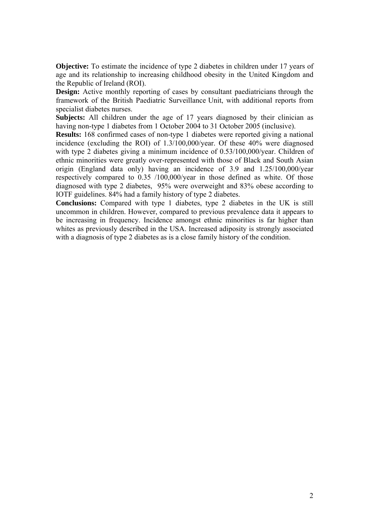**Objective:** To estimate the incidence of type 2 diabetes in children under 17 years of age and its relationship to increasing childhood obesity in the United Kingdom and the Republic of Ireland (ROI).

**Design:** Active monthly reporting of cases by consultant paediatricians through the framework of the British Paediatric Surveillance Unit, with additional reports from specialist diabetes nurses.

**Subjects:** All children under the age of 17 years diagnosed by their clinician as having non-type 1 diabetes from 1 October 2004 to 31 October 2005 (inclusive).

**Results:** 168 confirmed cases of non-type 1 diabetes were reported giving a national incidence (excluding the ROI) of 1.3/100,000/year. Of these 40% were diagnosed with type 2 diabetes giving a minimum incidence of 0.53/100,000/year. Children of ethnic minorities were greatly over-represented with those of Black and South Asian origin (England data only) having an incidence of 3.9 and 1.25/100,000/year respectively compared to 0.35 /100,000/year in those defined as white. Of those diagnosed with type 2 diabetes, 95% were overweight and 83% obese according to IOTF guidelines. 84% had a family history of type 2 diabetes.

**Conclusions:** Compared with type 1 diabetes, type 2 diabetes in the UK is still uncommon in children. However, compared to previous prevalence data it appears to be increasing in frequency. Incidence amongst ethnic minorities is far higher than whites as previously described in the USA. Increased adiposity is strongly associated with a diagnosis of type 2 diabetes as is a close family history of the condition.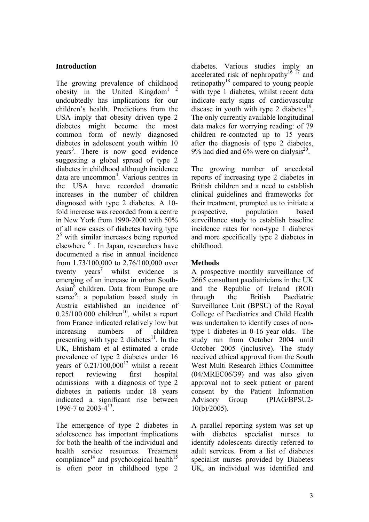### **Introduction**

The growing prevalence of childhood obesity in the United Kingdom<sup>1</sup><sup>2</sup> undoubtedly has implications for our children's health. Predictions from the USA imply that obesity driven type 2 diabetes might become the most common form of newly diagnosed diabetes in adolescent youth within 10 years<sup>3</sup>. There is now good evidence suggesting a global spread of type 2 diabetes in childhood although incidence data are uncommon<sup>4</sup>. Various centres in the USA have recorded dramatic increases in the number of children diagnosed with type 2 diabetes. A 10 fold increase was recorded from a centre in New York from 1990-2000 with 50% of all new cases of diabetes having type 2<sup>5</sup> with similar increases being reported elsewhere <sup>6</sup>. In Japan, researchers have documented a rise in annual incidence from 1.73/100,000 to 2.76/100,000 over twenty  $years^7$  whilst evidence is emerging of an increase in urban South-Asian<sup>8</sup> children. Data from Europe are scarce<sup>9</sup>: a population based study in Austria established an incidence of  $0.25/100.000$  children<sup>10</sup>, whilst a report from France indicated relatively low but increasing numbers of children presenting with type 2 diabetes<sup>11</sup>. In the UK, Ehtisham et al estimated a crude prevalence of type 2 diabetes under 16 years of  $0.21/100,000^{12}$  whilst a recent report reviewing first hospital admissions with a diagnosis of type 2 diabetes in patients under 18 years indicated a significant rise between 1996-7 to 2003-413.

The emergence of type 2 diabetes in adolescence has important implications for both the health of the individual and health service resources. Treatment compliance<sup>14</sup> and psychological health<sup>15</sup> is often poor in childhood type 2

diabetes. Various studies imply an accelerated risk of nephropathy<sup>16 17</sup> and retinopathy18 compared to young people with type 1 diabetes, whilst recent data indicate early signs of cardiovascular disease in youth with type 2 diabetes<sup>19</sup>. The only currently available longitudinal data makes for worrying reading: of 79 children re-contacted up to 15 years after the diagnosis of type 2 diabetes, 9% had died and 6% were on dialysis<sup>20</sup>.

The growing number of anecdotal reports of increasing type 2 diabetes in British children and a need to establish clinical guidelines and frameworks for their treatment, prompted us to initiate a prospective, population based surveillance study to establish baseline incidence rates for non-type 1 diabetes and more specifically type 2 diabetes in childhood.

## **Methods**

A prospective monthly surveillance of 2665 consultant paediatricians in the UK and the Republic of Ireland (ROI) through the British Paediatric Surveillance Unit (BPSU) of the Royal College of Paediatrics and Child Health was undertaken to identify cases of nontype 1 diabetes in 0-16 year olds. The study ran from October 2004 until October 2005 (inclusive). The study received ethical approval from the South West Multi Research Ethics Committee (04/MREC06/39) and was also given approval not to seek patient or parent consent by the Patient Information Advisory Group (PIAG/BPSU2-  $10(b)/2005$ ).

A parallel reporting system was set up with diabetes specialist nurses to identify adolescents directly referred to adult services. From a list of diabetes specialist nurses provided by Diabetes UK, an individual was identified and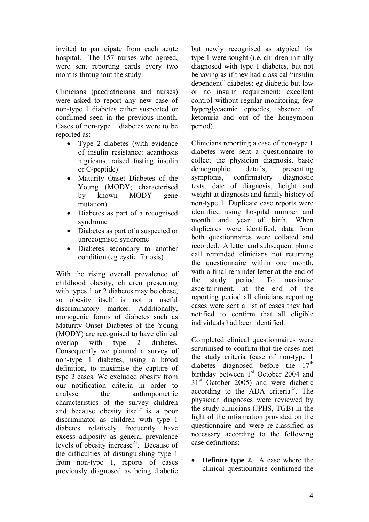invited to participate from each acute hospital. The 157 nurses who agreed, were sent reporting cards every two months throughout the study.

Clinicians (paediatricians and nurses) were asked to report any new case of non-type 1 diabetes either suspected or confirmed seen in the previous month. Cases of non-type 1 diabetes were to be reported as:

- Type 2 diabetes (with evidence of insulin resistance: acanthosis nigricans, raised fasting insulin or C-peptide)
- Maturity Onset Diabetes of the Young (MODY; characterised by known MODY gene mutation)
- Diabetes as part of a recognised syndrome
- Diabetes as part of a suspected or unrecognised syndrome
- Diabetes secondary to another condition (eg cystic fibrosis)

With the rising overall prevalence of childhood obesity, children presenting with types 1 or 2 diabetes may be obese. so obesity itself is not a useful discriminatory marker. Additionally, monogenic forms of diabetes such as Maturity Onset Diabetes of the Young (MODY) are recognised to have clinical overlap with type 2 diabetes. Consequently we planned a survey of non-type 1 diabetes, using a broad definition, to maximise the capture of type 2 cases. We excluded obesity from our notification criteria in order to analyse the anthropometric characteristics of the survey children and because obesity itself is a poor discriminator as children with type 1 diabetes relatively frequently have excess adiposity as general prevalence levels of obesity increase $2<sup>1</sup>$ . Because of the difficulties of distinguishing type 1 from non-type 1, reports of cases previously diagnosed as being diabetic

but newly recognised as atypical for type 1 were sought (i.e. children initially diagnosed with type 1 diabetes, but not behaving as if they had classical "insulin dependent" diabetes: eg diabetic but low or no insulin requirement; excellent control without regular monitoring, few hyperglycaemic episodes, absence of ketonuria and out of the honeymoon period).

Clinicians reporting a case of non-type 1 diabetes were sent a questionnaire to collect the physician diagnosis, basic demographic details, presenting symptoms, confirmatory diagnostic tests, date of diagnosis, height and weight at diagnosis and family history of non-type 1. Duplicate case reports were identified using hospital number and month and year of birth. When duplicates were identified, data from both questionnaires were collated and recorded. A letter and subsequent phone call reminded clinicians not returning the questionnaire within one month, with a final reminder letter at the end of the study period. To maximise ascertainment, at the end of the reporting period all clinicians reporting cases were sent a list of cases they had notified to confirm that all eligible individuals had been identified.

Completed clinical questionnaires were scrutinised to confirm that the cases met the study criteria (case of non-type 1 diabetes diagnosed before the 17<sup>th</sup> birthday between  $1<sup>st</sup>$  October 2004 and 31<sup>st</sup> October 2005) and were diabetic according to the  $\widehat{A}DA$  criteria<sup>22</sup>. The physician diagnoses were reviewed by the study clinicians (JPHS, TGB) in the light of the information provided on the questionnaire and were re-classified as necessary according to the following case definitions:

• **Definite type 2.** A case where the clinical questionnaire confirmed the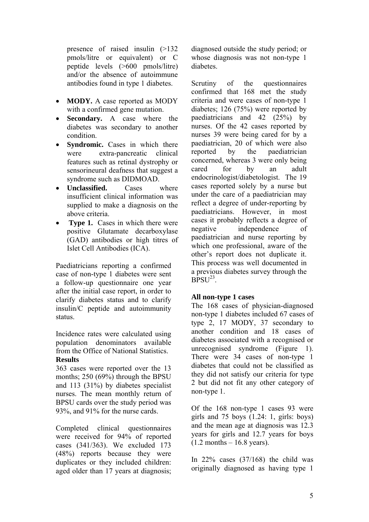presence of raised insulin (>132 pmols/litre or equivalent) or C peptide levels (>600 pmols/litre) and/or the absence of autoimmune antibodies found in type 1 diabetes.

- **MODY.** A case reported as MODY with a confirmed gene mutation.
- **Secondary.** A case where the diabetes was secondary to another condition.
- **Syndromic.** Cases in which there were extra-pancreatic clinical features such as retinal dystrophy or sensorineural deafness that suggest a syndrome such as DIDMOAD.
- **Unclassified.** Cases where insufficient clinical information was supplied to make a diagnosis on the above criteria.
- **Type 1.** Cases in which there were positive Glutamate decarboxylase (GAD) antibodies or high titres of Islet Cell Antibodies (ICA).

Paediatricians reporting a confirmed case of non-type 1 diabetes were sent a follow-up questionnaire one year after the initial case report, in order to clarify diabetes status and to clarify insulin/C peptide and autoimmunity status.

Incidence rates were calculated using population denominators available from the Office of National Statistics. **Results** 

363 cases were reported over the 13 months; 250 (69%) through the BPSU and 113 (31%) by diabetes specialist nurses. The mean monthly return of BPSU cards over the study period was 93%, and 91% for the nurse cards.

Completed clinical questionnaires were received for 94% of reported cases (341/363). We excluded 173 (48%) reports because they were duplicates or they included children: aged older than 17 years at diagnosis; diagnosed outside the study period; or whose diagnosis was not non-type 1 diabetes.

Scrutiny of the questionnaires confirmed that 168 met the study criteria and were cases of non-type 1 diabetes; 126 (75%) were reported by paediatricians and 42 (25%) by nurses. Of the 42 cases reported by nurses 39 were being cared for by a paediatrician, 20 of which were also reported by the paediatrician concerned, whereas 3 were only being cared for by an adult endocrinologist/diabetologist. The 19 cases reported solely by a nurse but under the care of a paediatrician may reflect a degree of under-reporting by paediatricians. However, in most cases it probably reflects a degree of negative independence of paediatrician and nurse reporting by which one professional, aware of the other's report does not duplicate it. This process was well documented in a previous diabetes survey through the  $BPSU<sup>23</sup>$ .

#### **All non-type 1 cases**

The 168 cases of physician-diagnosed non-type 1 diabetes included 67 cases of type 2, 17 MODY, 37 secondary to another condition and 18 cases of diabetes associated with a recognised or unrecognised syndrome (Figure 1). There were 34 cases of non-type 1 diabetes that could not be classified as they did not satisfy our criteria for type 2 but did not fit any other category of non-type 1.

Of the 168 non-type 1 cases 93 were girls and 75 boys  $(1.24: 1, \text{ girls: boys})$ and the mean age at diagnosis was 12.3 years for girls and 12.7 years for boys  $(1.2$  months  $-16.8$  years).

In  $22\%$  cases  $(37/168)$  the child was originally diagnosed as having type 1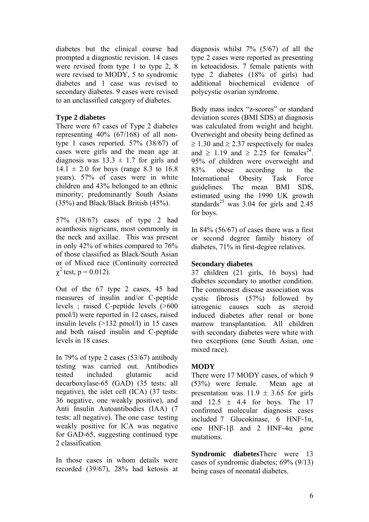diabetes but the clinical course had prompted a diagnostic revision. 14 cases were revised from type 1 to type 2, 8 were revised to MODY, 5 to syndromic diabetes and 1 case was revised to secondary diabetes. 9 cases were revised to an unclassified category of diabetes.

## **Type 2 diabetes**

There were 67 cases of Type 2 diabetes representing 40% (67/168) of all nontype 1 cases reported. 57% (38/67) of cases were girls and the mean age at diagnosis was  $13.3 \pm 1.7$  for girls and  $14.1 \pm 2.0$  for boys (range 8.3 to 16.8) years). 57% of cases were in white children and 43% belonged to an ethnic minority; predominantly South Asians (35%) and Black/Black British (45%).

57% (38/67) cases of type 2 had acanthosis nigricans, most commonly in the neck and axillae. This was present in only 42% of whites compared to 76% of those classified as Black/South Asian or of Mixed race (Continuity corrected  $\gamma^2$  test, p = 0.012).

Out of the 67 type 2 cases, 45 had measures of insulin and/or C-peptide levels ; raised C-peptide levels (>600 pmol/l) were reported in 12 cases, raised insulin levels (>132 pmol/l) in 15 cases and both raised insulin and C-peptide levels in 18 cases.

In 79% of type 2 cases (53/67) antibody testing was carried out. Antibodies tested included glutamic acid decarboxylase-65 (GAD) (35 tests: all negative), the islet cell (ICA) (37 tests: 36 negative, one weakly positive), and Anti Insulin Autoantibodies (IAA) (7 tests: all negative). The one case testing weakly positive for ICA was negative for GAD-65, suggesting continued type 2 classification.

In those cases in whom details were recorded (39/67), 28% had ketosis at diagnosis whilst 7% (5/67) of all the type 2 cases were reported as presenting in ketoacidosis. 7 female patients with type 2 diabetes (18% of girls) had additional biochemical evidence of polycystic ovarian syndrome.

Body mass index "z-scores" or standard deviation scores (BMI SDS) at diagnosis was calculated from weight and height. Overweight and obesity being defined as  $\geq$  1.30 and  $\geq$  2.37 respectively for males and  $\geq 1.19$  and  $\geq 2.25$  for females<sup>24</sup>. 95% of children were overweight and 83% obese according to the International Obesity Task Force guidelines. The mean BMI SDS, estimated using the 1990 UK growth standards<sup>25</sup> was 3.04 for girls and 2.45 for boys.

In  $84\%$  (56/67) of cases there was a first or second degree family history of diabetes, 71% in first-degree relatives.

### **Secondary diabetes**

37 children (21 girls, 16 boys) had diabetes secondary to another condition. The commonest disease association was cystic fibrosis (57%) followed by iatrogenic causes such as steroid induced diabetes after renal or bone marrow transplantation. All children with secondary diabetes were white with two exceptions (one South Asian, one mixed race).

# **MODY**

There were 17 MODY cases, of which 9 (53%) were female. Mean age at presentation was  $11.9 \pm 3.65$  for girls and  $12.5 \pm 4.4$  for boys. The 17 confirmed molecular diagnosis cases included 7 Glucokinase, 6 HNF-1 $\alpha$ , one HNF-1 $\beta$  and 2 HNF-4 $\alpha$  gene mutations.

**Syndromic diabetes**There were 13 cases of syndromic diabetes; 69% (9/13) being cases of neonatal diabetes.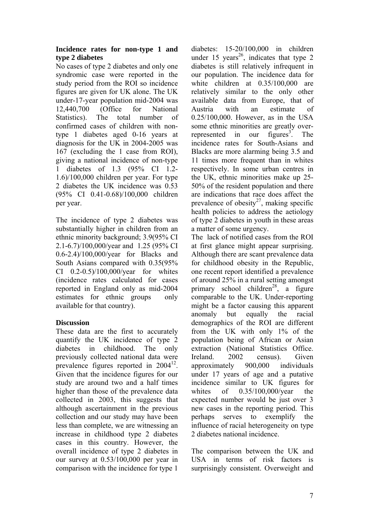#### **Incidence rates for non-type 1 and type 2 diabetes**

No cases of type 2 diabetes and only one syndromic case were reported in the study period from the ROI so incidence figures are given for UK alone. The UK under-17-year population mid-2004 was 12,440,700 (Office for National Statistics). The total number of confirmed cases of children with nontype 1 diabetes aged 0-16 years at diagnosis for the UK in 2004-2005 was 167 (excluding the 1 case from ROI), giving a national incidence of non-type 1 diabetes of 1.3 (95% CI 1.2- 1.6)/100,000 children per year. For type 2 diabetes the UK incidence was 0.53 (95% CI 0.41-0.68)/100,000 children per year.

The incidence of type 2 diabetes was substantially higher in children from an ethnic minority background; 3.9(95% CI 2.1-6.7)/100,000/year and 1.25 (95% CI 0.6-2.4)/100,000/year for Blacks and South Asians compared with 0.35(95% CI 0.2-0.5)/100,000/year for whites (incidence rates calculated for cases reported in England only as mid-2004 estimates for ethnic groups only available for that country).

# **Discussion**

These data are the first to accurately quantify the UK incidence of type 2 diabetes in childhood. The only previously collected national data were prevalence figures reported in  $2004^{12}$ . Given that the incidence figures for our study are around two and a half times higher than those of the prevalence data collected in 2003, this suggests that although ascertainment in the previous collection and our study may have been less than complete, we are witnessing an increase in childhood type 2 diabetes cases in this country. However, the overall incidence of type 2 diabetes in our survey at 0.53/100,000 per year in comparison with the incidence for type 1

diabetes: 15-20/100,000 in children under 15 years<sup>26</sup>, indicates that type 2 diabetes is still relatively infrequent in our population. The incidence data for white children at 0.35/100,000 are relatively similar to the only other available data from Europe, that of Austria with an estimate of 0.25/100,000. However, as in the USA some ethnic minorities are greatly overrepresented in our figures<sup>3</sup>. The incidence rates for South-Asians and Blacks are more alarming being 3.5 and 11 times more frequent than in whites respectively. In some urban centres in the UK, ethnic minorities make up 25- 50% of the resident population and there are indications that race does affect the prevalence of obesity<sup>27</sup>, making specific health policies to address the aetiology of type 2 diabetes in youth in these areas a matter of some urgency.

The lack of notified cases from the ROI at first glance might appear surprising. Although there are scant prevalence data for childhood obesity in the Republic, one recent report identified a prevalence of around 25% in a rural setting amongst primary school children<sup>28</sup>, a figure comparable to the UK. Under-reporting might be a factor causing this apparent anomaly but equally the racial demographics of the ROI are different from the UK with only 1% of the population being of African or Asian extraction (National Statistics Office. Ireland. 2002 census). Given approximately 900,000 individuals under 17 years of age and a putative incidence similar to UK figures for whites of 0.35/100,000/year the expected number would be just over 3 new cases in the reporting period. This perhaps serves to exemplify the influence of racial heterogeneity on type 2 diabetes national incidence.

The comparison between the UK and USA in terms of risk factors is surprisingly consistent. Overweight and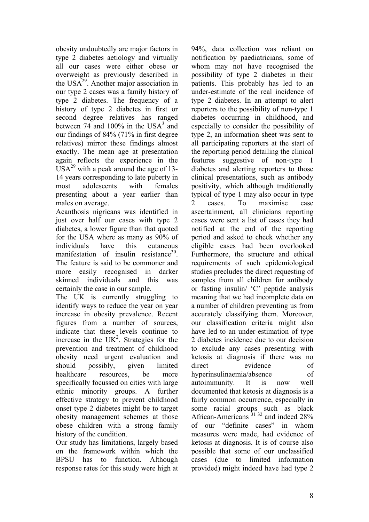obesity undoubtedly are major factors in type 2 diabetes aetiology and virtually all our cases were either obese or overweight as previously described in the  $USA^{29}$ . Another major association in our type 2 cases was a family history of type 2 diabetes. The frequency of a history of type 2 diabetes in first or second degree relatives has ranged between  $74$  and  $100\%$  in the USA<sup>3</sup> and our findings of 84% (71% in first degree relatives) mirror these findings almost exactly. The mean age at presentation again reflects the experience in the  $USA<sup>29</sup>$  with a peak around the age of 13-14 years corresponding to late puberty in most adolescents with females presenting about a year earlier than males on average.

Acanthosis nigricans was identified in just over half our cases with type 2 diabetes, a lower figure than that quoted for the USA where as many as 90% of individuals have this cutaneous manifestation of insulin resistance<sup>30</sup> The feature is said to be commoner and more easily recognised in darker skinned individuals and this was certainly the case in our sample.

The UK is currently struggling to identify ways to reduce the year on year increase in obesity prevalence. Recent figures from a number of sources, indicate that these levels continue to increase in the  $UK<sup>2</sup>$ . Strategies for the prevention and treatment of childhood obesity need urgent evaluation and should possibly, given limited healthcare resources, be more specifically focussed on cities with large ethnic minority groups. A further effective strategy to prevent childhood onset type 2 diabetes might be to target obesity management schemes at those obese children with a strong family history of the condition.

Our study has limitations, largely based on the framework within which the BPSU has to function. Although response rates for this study were high at

94%, data collection was reliant on notification by paediatricians, some of whom may not have recognised the possibility of type 2 diabetes in their patients. This probably has led to an under-estimate of the real incidence of type 2 diabetes. In an attempt to alert reporters to the possibility of non-type 1 diabetes occurring in childhood, and especially to consider the possibility of type 2, an information sheet was sent to all participating reporters at the start of the reporting period detailing the clinical features suggestive of non-type 1 diabetes and alerting reporters to those clinical presentations, such as antibody positivity, which although traditionally typical of type 1 may also occur in type 2 cases. To maximise case ascertainment, all clinicians reporting cases were sent a list of cases they had notified at the end of the reporting period and asked to check whether any eligible cases had been overlooked Furthermore, the structure and ethical requirements of such epidemiological studies precludes the direct requesting of samples from all children for antibody or fasting insulin/ 'C' peptide analysis meaning that we had incomplete data on a number of children preventing us from accurately classifying them. Moreover, our classification criteria might also have led to an under-estimation of type 2 diabetes incidence due to our decision to exclude any cases presenting with ketosis at diagnosis if there was no direct evidence of hyperinsulinaemia/absence of autoimmunity. It is now well documented that ketosis at diagnosis is a fairly common occurrence, especially in some racial groups such as black African-Americans  $3132$  and indeed 28% of our "definite cases" in whom measures were made, had evidence of ketosis at diagnosis. It is of course also possible that some of our unclassified cases (due to limited information provided) might indeed have had type 2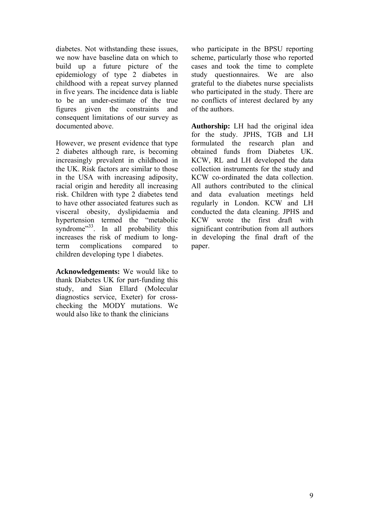diabetes. Not withstanding these issues, we now have baseline data on which to build up a future picture of the epidemiology of type 2 diabetes in childhood with a repeat survey planned in five years. The incidence data is liable to be an under-estimate of the true figures given the constraints and consequent limitations of our survey as documented above.

However, we present evidence that type 2 diabetes although rare, is becoming increasingly prevalent in childhood in the UK. Risk factors are similar to those in the USA with increasing adiposity, racial origin and heredity all increasing risk. Children with type 2 diabetes tend to have other associated features such as visceral obesity, dyslipidaemia and hypertension termed the "metabolic syndrome<sup> $33$ </sup>. In all probability this increases the risk of medium to longterm complications compared to children developing type 1 diabetes.

**Acknowledgements:** We would like to thank Diabetes UK for part-funding this study, and Sian Ellard (Molecular diagnostics service, Exeter) for crosschecking the MODY mutations. We would also like to thank the clinicians

who participate in the BPSU reporting scheme, particularly those who reported cases and took the time to complete study questionnaires. We are also grateful to the diabetes nurse specialists who participated in the study. There are no conflicts of interest declared by any of the authors.

**Authorship:** LH had the original idea for the study. JPHS, TGB and LH formulated the research plan and obtained funds from Diabetes UK. KCW, RL and LH developed the data collection instruments for the study and KCW co-ordinated the data collection. All authors contributed to the clinical and data evaluation meetings held regularly in London. KCW and LH conducted the data cleaning. JPHS and KCW wrote the first draft with significant contribution from all authors in developing the final draft of the paper.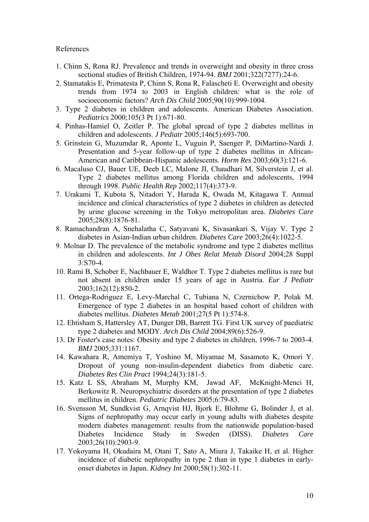#### References

- 1. Chinn S, Rona RJ. Prevalence and trends in overweight and obesity in three cross sectional studies of British Children, 1974-94. *BMJ* 2001;322(7277):24-6.
- 2. Stamatakis E, Primatesta P, Chinn S, Rona R, Falascheti E. Overweight and obesity trends from 1974 to 2003 in English children: what is the role of socioeconomic factors? *Arch Dis Child* 2005;90(10):999-1004.
- 3. Type 2 diabetes in children and adolescents. American Diabetes Association. *Pediatrics* 2000;105(3 Pt 1):671-80.
- 4. Pinhas-Hamiel O, Zeitler P. The global spread of type 2 diabetes mellitus in children and adolescents. *J Pediatr* 2005;146(5):693-700.
- 5. Grinstein G, Muzumdar R, Aponte L, Vuguin P, Saenger P, DiMartino-Nardi J. Presentation and 5-year follow-up of type 2 diabetes mellitus in African-American and Caribbean-Hispanic adolescents. *Horm Res* 2003;60(3):121-6.
- 6. Macaluso CJ, Bauer UE, Deeb LC, Malone JI, Chaudhari M, Silverstein J, et al. Type 2 diabetes mellitus among Florida children and adolescents, 1994 through 1998. *Public Health Rep* 2002;117(4):373-9.
- 7. Urakami T, Kubota S, Nitadori Y, Harada K, Owada M, Kitagawa T. Annual incidence and clinical characteristics of type 2 diabetes in children as detected by urine glucose screening in the Tokyo metropolitan area. *Diabetes Care* 2005;28(8):1876-81.
- 8. Ramachandran A, Snehalatha C, Satyavani K, Sivasankari S, Vijay V. Type 2 diabetes in Asian-Indian urban children. *Diabetes Care* 2003;26(4):1022-5.
- 9. Molnar D. The prevalence of the metabolic syndrome and type 2 diabetes mellitus in children and adolescents. *Int J Obes Relat Metab Disord* 2004;28 Suppl 3:S70-4.
- 10. Rami B, Schober E, Nachbauer E, Waldhor T. Type 2 diabetes mellitus is rare but not absent in children under 15 years of age in Austria. *Eur J Pediatr* 2003;162(12):850-2.
- 11. Ortega-Rodriguez E, Levy-Marchal C, Tubiana N, Czernichow P, Polak M. Emergence of type 2 diabetes in an hospital based cohort of children with diabetes mellitus. *Diabetes Metab* 2001;27(5 Pt 1):574-8.
- 12. Ehtisham S, Hattersley AT, Dunger DB, Barrett TG. First UK survey of paediatric type 2 diabetes and MODY. *Arch Dis Child* 2004;89(6):526-9.
- 13. Dr Foster's case notes: Obesity and type 2 diabetes in children, 1996-7 to 2003-4. *BMJ* 2005;331:1167.
- 14. Kawahara R, Amemiya T, Yoshino M, Miyamae M, Sasamoto K, Omori Y. Dropout of young non-insulin-dependent diabetics from diabetic care. *Diabetes Res Clin Pract* 1994;24(3):181-5.
- 15. Katz L SS, Abraham M, Murphy KM, Jawad AF, McKnight-Menci H, Berkowitz R. Neuropsychiatric disorders at the presentation of type 2 diabetes mellitus in children. *Pediatric Diabetes* 2005;6:79-83.
- 16. Svensson M, Sundkvist G, Arnqvist HJ, Bjork E, Blohme G, Bolinder J, et al. Signs of nephropathy may occur early in young adults with diabetes despite modern diabetes management: results from the nationwide population-based Diabetes Incidence Study in Sweden (DISS). *Diabetes Care* 2003;26(10):2903-9.
- 17. Yokoyama H, Okudaira M, Otani T, Sato A, Miura J, Takaike H, et al. Higher incidence of diabetic nephropathy in type 2 than in type 1 diabetes in earlyonset diabetes in Japan. *Kidney Int* 2000;58(1):302-11.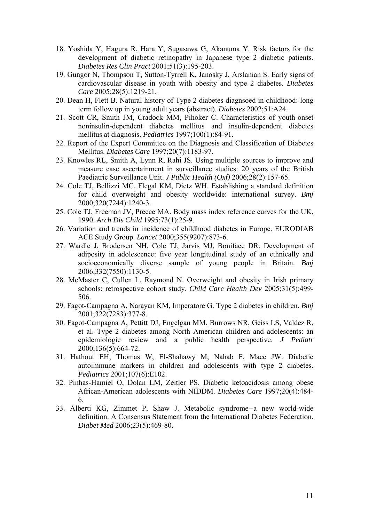- 18. Yoshida Y, Hagura R, Hara Y, Sugasawa G, Akanuma Y. Risk factors for the development of diabetic retinopathy in Japanese type 2 diabetic patients. *Diabetes Res Clin Pract* 2001;51(3):195-203.
- 19. Gungor N, Thompson T, Sutton-Tyrrell K, Janosky J, Arslanian S. Early signs of cardiovascular disease in youth with obesity and type 2 diabetes. *Diabetes Care* 2005;28(5):1219-21.
- 20. Dean H, Flett B. Natural history of Type 2 diabetes diagnsoed in childhood: long term follow up in young adult years (abstract). *Diabetes* 2002;51:A24.
- 21. Scott CR, Smith JM, Cradock MM, Pihoker C. Characteristics of youth-onset noninsulin-dependent diabetes mellitus and insulin-dependent diabetes mellitus at diagnosis. *Pediatrics* 1997;100(1):84-91.
- 22. Report of the Expert Committee on the Diagnosis and Classification of Diabetes Mellitus. *Diabetes Care* 1997;20(7):1183-97.
- 23. Knowles RL, Smith A, Lynn R, Rahi JS. Using multiple sources to improve and measure case ascertainment in surveillance studies: 20 years of the British Paediatric Surveillance Unit. *J Public Health (Oxf)* 2006;28(2):157-65.
- 24. Cole TJ, Bellizzi MC, Flegal KM, Dietz WH. Establishing a standard definition for child overweight and obesity worldwide: international survey. *Bmj* 2000;320(7244):1240-3.
- 25. Cole TJ, Freeman JV, Preece MA. Body mass index reference curves for the UK, 1990. *Arch Dis Child* 1995;73(1):25-9.
- 26. Variation and trends in incidence of childhood diabetes in Europe. EURODIAB ACE Study Group. *Lancet* 2000;355(9207):873-6.
- 27. Wardle J, Brodersen NH, Cole TJ, Jarvis MJ, Boniface DR. Development of adiposity in adolescence: five year longitudinal study of an ethnically and socioeconomically diverse sample of young people in Britain. *Bmj* 2006;332(7550):1130-5.
- 28. McMaster C, Cullen L, Raymond N. Overweight and obesity in Irish primary schools: retrospective cohort study. *Child Care Health Dev* 2005;31(5):499- 506.
- 29. Fagot-Campagna A, Narayan KM, Imperatore G. Type 2 diabetes in children. *Bmj* 2001;322(7283):377-8.
- 30. Fagot-Campagna A, Pettitt DJ, Engelgau MM, Burrows NR, Geiss LS, Valdez R, et al. Type 2 diabetes among North American children and adolescents: an epidemiologic review and a public health perspective. *J Pediatr* 2000;136(5):664-72.
- 31. Hathout EH, Thomas W, El-Shahawy M, Nahab F, Mace JW. Diabetic autoimmune markers in children and adolescents with type 2 diabetes. *Pediatrics* 2001;107(6):E102.
- 32. Pinhas-Hamiel O, Dolan LM, Zeitler PS. Diabetic ketoacidosis among obese African-American adolescents with NIDDM. *Diabetes Care* 1997;20(4):484- 6.
- 33. Alberti KG, Zimmet P, Shaw J. Metabolic syndrome--a new world-wide definition. A Consensus Statement from the International Diabetes Federation. *Diabet Med* 2006;23(5):469-80.